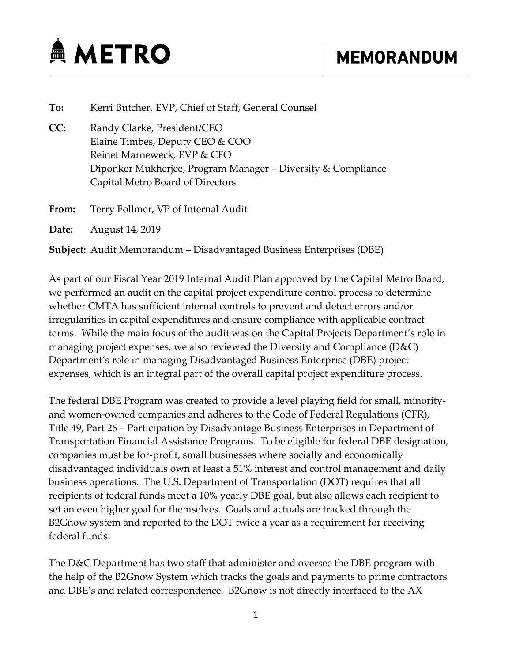

## **To:** Kerri Butcher, EVP, Chief of Staff, General Counsel  **CC:** Randy Clarke, President/CEO  Elaine Timbes, Deputy CEO & COO Reinet Marneweck, EVP & CFO Diponker Mukherjee, Program Manager – Diversity & Compliance Capital Metro Board of Directors **From:** Terry Follmer, VP of Internal Audit

**Date:** August 14, 2019

**Subject:** Audit Memorandum – Disadvantaged Business Enterprises (DBE)

As part of our Fiscal Year 2019 Internal Audit Plan approved by the Capital Metro Board, we performed an audit on the capital project expenditure control process to determine whether CMTA has sufficient internal controls to prevent and detect errors and/or irregularities in capital expenditures and ensure compliance with applicable contract terms. While the main focus of the audit was on the Capital Projects Department's role in managing project expenses, we also reviewed the Diversity and Compliance (D&C) Department's role in managing Disadvantaged Business Enterprise (DBE) project expenses, which is an integral part of the overall capital project expenditure process.

The federal DBE Program was created to provide a level playing field for small, minority‐ and women‐owned companies and adheres to the Code of Federal Regulations (CFR), Title 49, Part 26 – Participation by Disadvantage Business Enterprises in Department of Transportation Financial Assistance Programs. To be eligible for federal DBE designation, companies must be for‐profit, small businesses where socially and economically disadvantaged individuals own at least a 51% interest and control management and daily business operations. The U.S. Department of Transportation (DOT) requires that all recipients of federal funds meet a 10% yearly DBE goal, but also allows each recipient to set an even higher goal for themselves. Goals and actuals are tracked through the B2Gnow system and reported to the DOT twice a year as a requirement for receiving federal funds.

The D&C Department has two staff that administer and oversee the DBE program with the help of the B2Gnow System which tracks the goals and payments to prime contractors and DBE's and related correspondence. B2Gnow is not directly interfaced to the AX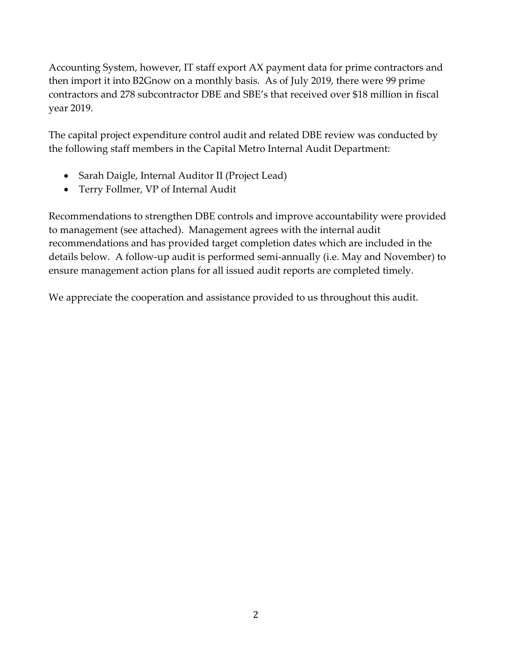Accounting System, however, IT staff export AX payment data for prime contractors and then import it into B2Gnow on a monthly basis. As of July 2019, there were 99 prime contractors and 278 subcontractor DBE and SBE's that received over \$18 million in fiscal year 2019.

The capital project expenditure control audit and related DBE review was conducted by the following staff members in the Capital Metro Internal Audit Department:

- Sarah Daigle, Internal Auditor II (Project Lead)
- Terry Follmer, VP of Internal Audit

Recommendations to strengthen DBE controls and improve accountability were provided to management (see attached). Management agrees with the internal audit recommendations and has provided target completion dates which are included in the details below. A follow‐up audit is performed semi‐annually (i.e. May and November) to ensure management action plans for all issued audit reports are completed timely.

We appreciate the cooperation and assistance provided to us throughout this audit.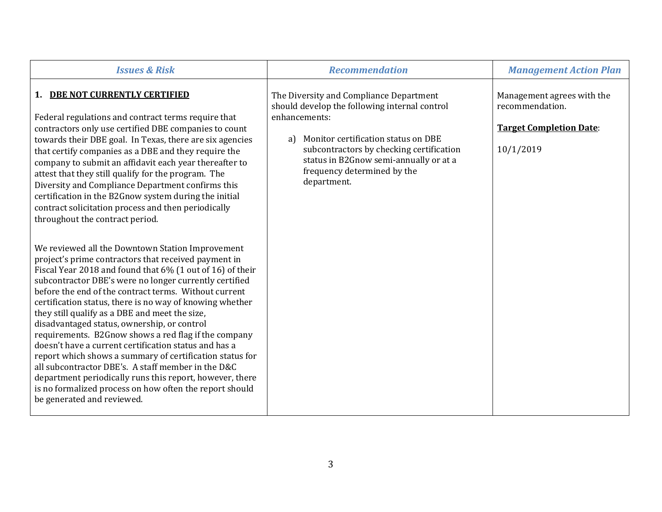| <b>Issues &amp; Risk</b>                                                                                                                                                                                                                                                                                                                                                                                                                                                                                                                                                                                                                                                                                                                                                                                                                      | <b>Recommendation</b>                                                                                                                                                                                                                                                                      | <b>Management Action Plan</b>                                                                |
|-----------------------------------------------------------------------------------------------------------------------------------------------------------------------------------------------------------------------------------------------------------------------------------------------------------------------------------------------------------------------------------------------------------------------------------------------------------------------------------------------------------------------------------------------------------------------------------------------------------------------------------------------------------------------------------------------------------------------------------------------------------------------------------------------------------------------------------------------|--------------------------------------------------------------------------------------------------------------------------------------------------------------------------------------------------------------------------------------------------------------------------------------------|----------------------------------------------------------------------------------------------|
| 1. DBE NOT CURRENTLY CERTIFIED<br>Federal regulations and contract terms require that<br>contractors only use certified DBE companies to count<br>towards their DBE goal. In Texas, there are six agencies<br>that certify companies as a DBE and they require the<br>company to submit an affidavit each year thereafter to<br>attest that they still qualify for the program. The<br>Diversity and Compliance Department confirms this<br>certification in the B2Gnow system during the initial<br>contract solicitation process and then periodically<br>throughout the contract period.                                                                                                                                                                                                                                                   | The Diversity and Compliance Department<br>should develop the following internal control<br>enhancements:<br>Monitor certification status on DBE<br>a)<br>subcontractors by checking certification<br>status in B2Gnow semi-annually or at a<br>frequency determined by the<br>department. | Management agrees with the<br>recommendation.<br><b>Target Completion Date:</b><br>10/1/2019 |
| We reviewed all the Downtown Station Improvement<br>project's prime contractors that received payment in<br>Fiscal Year 2018 and found that 6% (1 out of 16) of their<br>subcontractor DBE's were no longer currently certified<br>before the end of the contract terms. Without current<br>certification status, there is no way of knowing whether<br>they still qualify as a DBE and meet the size,<br>disadvantaged status, ownership, or control<br>requirements. B2Gnow shows a red flag if the company<br>doesn't have a current certification status and has a<br>report which shows a summary of certification status for<br>all subcontractor DBE's. A staff member in the D&C<br>department periodically runs this report, however, there<br>is no formalized process on how often the report should<br>be generated and reviewed. |                                                                                                                                                                                                                                                                                            |                                                                                              |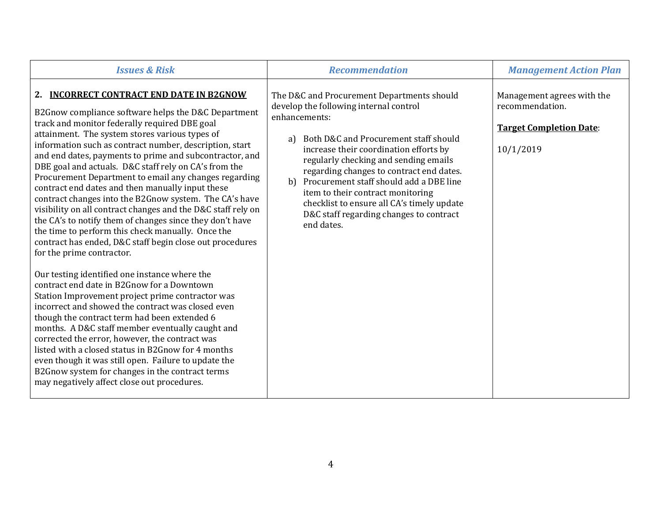| <b>Issues &amp; Risk</b>                                                                                                                                                                                                                                                                                                                                                                                                                                                                                                                                                                                                                                                                                                                                                                                                                                                                                                                                                                                                                                                                                                                                                                                                                                                                                                                                                                                                   | <b>Recommendation</b>                                                                                                                                                                                                                                                                                                                                                                                                                                                           | <b>Management Action Plan</b>                                                                |
|----------------------------------------------------------------------------------------------------------------------------------------------------------------------------------------------------------------------------------------------------------------------------------------------------------------------------------------------------------------------------------------------------------------------------------------------------------------------------------------------------------------------------------------------------------------------------------------------------------------------------------------------------------------------------------------------------------------------------------------------------------------------------------------------------------------------------------------------------------------------------------------------------------------------------------------------------------------------------------------------------------------------------------------------------------------------------------------------------------------------------------------------------------------------------------------------------------------------------------------------------------------------------------------------------------------------------------------------------------------------------------------------------------------------------|---------------------------------------------------------------------------------------------------------------------------------------------------------------------------------------------------------------------------------------------------------------------------------------------------------------------------------------------------------------------------------------------------------------------------------------------------------------------------------|----------------------------------------------------------------------------------------------|
| <b>INCORRECT CONTRACT END DATE IN B2GNOW</b><br>2.<br>B2Gnow compliance software helps the D&C Department<br>track and monitor federally required DBE goal<br>attainment. The system stores various types of<br>information such as contract number, description, start<br>and end dates, payments to prime and subcontractor, and<br>DBE goal and actuals. D&C staff rely on CA's from the<br>Procurement Department to email any changes regarding<br>contract end dates and then manually input these<br>contract changes into the B2Gnow system. The CA's have<br>visibility on all contract changes and the D&C staff rely on<br>the CA's to notify them of changes since they don't have<br>the time to perform this check manually. Once the<br>contract has ended, D&C staff begin close out procedures<br>for the prime contractor.<br>Our testing identified one instance where the<br>contract end date in B2Gnow for a Downtown<br>Station Improvement project prime contractor was<br>incorrect and showed the contract was closed even<br>though the contract term had been extended 6<br>months. A D&C staff member eventually caught and<br>corrected the error, however, the contract was<br>listed with a closed status in B2Gnow for 4 months<br>even though it was still open. Failure to update the<br>B2Gnow system for changes in the contract terms<br>may negatively affect close out procedures. | The D&C and Procurement Departments should<br>develop the following internal control<br>enhancements:<br>Both D&C and Procurement staff should<br>a)<br>increase their coordination efforts by<br>regularly checking and sending emails<br>regarding changes to contract end dates.<br>Procurement staff should add a DBE line<br>b<br>item to their contract monitoring<br>checklist to ensure all CA's timely update<br>D&C staff regarding changes to contract<br>end dates. | Management agrees with the<br>recommendation.<br><b>Target Completion Date:</b><br>10/1/2019 |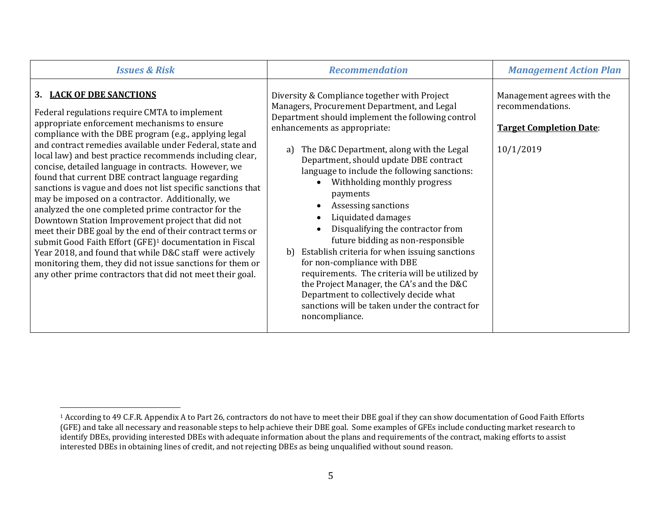| <b>Issues &amp; Risk</b>                                                                                                                                                                                                                                                                                                                                                                                                                                                                                                                                                                                                                                                                                                                                                                                                                                                                                                                                                          | <b>Recommendation</b>                                                                                                                                                                                                                                                                                                                                                                                                                                                                                                                                                                                                                                                                                                                                                                              | <b>Management Action Plan</b>                                                                 |
|-----------------------------------------------------------------------------------------------------------------------------------------------------------------------------------------------------------------------------------------------------------------------------------------------------------------------------------------------------------------------------------------------------------------------------------------------------------------------------------------------------------------------------------------------------------------------------------------------------------------------------------------------------------------------------------------------------------------------------------------------------------------------------------------------------------------------------------------------------------------------------------------------------------------------------------------------------------------------------------|----------------------------------------------------------------------------------------------------------------------------------------------------------------------------------------------------------------------------------------------------------------------------------------------------------------------------------------------------------------------------------------------------------------------------------------------------------------------------------------------------------------------------------------------------------------------------------------------------------------------------------------------------------------------------------------------------------------------------------------------------------------------------------------------------|-----------------------------------------------------------------------------------------------|
| 3. LACK OF DBE SANCTIONS<br>Federal regulations require CMTA to implement<br>appropriate enforcement mechanisms to ensure<br>compliance with the DBE program (e.g., applying legal<br>and contract remedies available under Federal, state and<br>local law) and best practice recommends including clear,<br>concise, detailed language in contracts. However, we<br>found that current DBE contract language regarding<br>sanctions is vague and does not list specific sanctions that<br>may be imposed on a contractor. Additionally, we<br>analyzed the one completed prime contractor for the<br>Downtown Station Improvement project that did not<br>meet their DBE goal by the end of their contract terms or<br>submit Good Faith Effort (GFE) <sup>1</sup> documentation in Fiscal<br>Year 2018, and found that while D&C staff were actively<br>monitoring them, they did not issue sanctions for them or<br>any other prime contractors that did not meet their goal. | Diversity & Compliance together with Project<br>Managers, Procurement Department, and Legal<br>Department should implement the following control<br>enhancements as appropriate:<br>The D&C Department, along with the Legal<br>a)<br>Department, should update DBE contract<br>language to include the following sanctions:<br>Withholding monthly progress<br>payments<br>Assessing sanctions<br>Liquidated damages<br>Disqualifying the contractor from<br>future bidding as non-responsible<br>Establish criteria for when issuing sanctions<br>b)<br>for non-compliance with DBE<br>requirements. The criteria will be utilized by<br>the Project Manager, the CA's and the D&C<br>Department to collectively decide what<br>sanctions will be taken under the contract for<br>noncompliance. | Management agrees with the<br>recommendations.<br><b>Target Completion Date:</b><br>10/1/2019 |

<sup>&</sup>lt;sup>1</sup> According to 49 C.F.R. Appendix A to Part 26, contractors do not have to meet their DBE goal if they can show documentation of Good Faith Efforts (GFE) and take all necessary and reasonable steps to help achieve their DBE goal. Some examples of GFEs include conducting market research to identify DBEs, providing interested DBEs with adequate information about the plans and requirements of the contract, making efforts to assist interested DBEs in obtaining lines of credit, and not rejecting DBEs as being unqualified without sound reason.